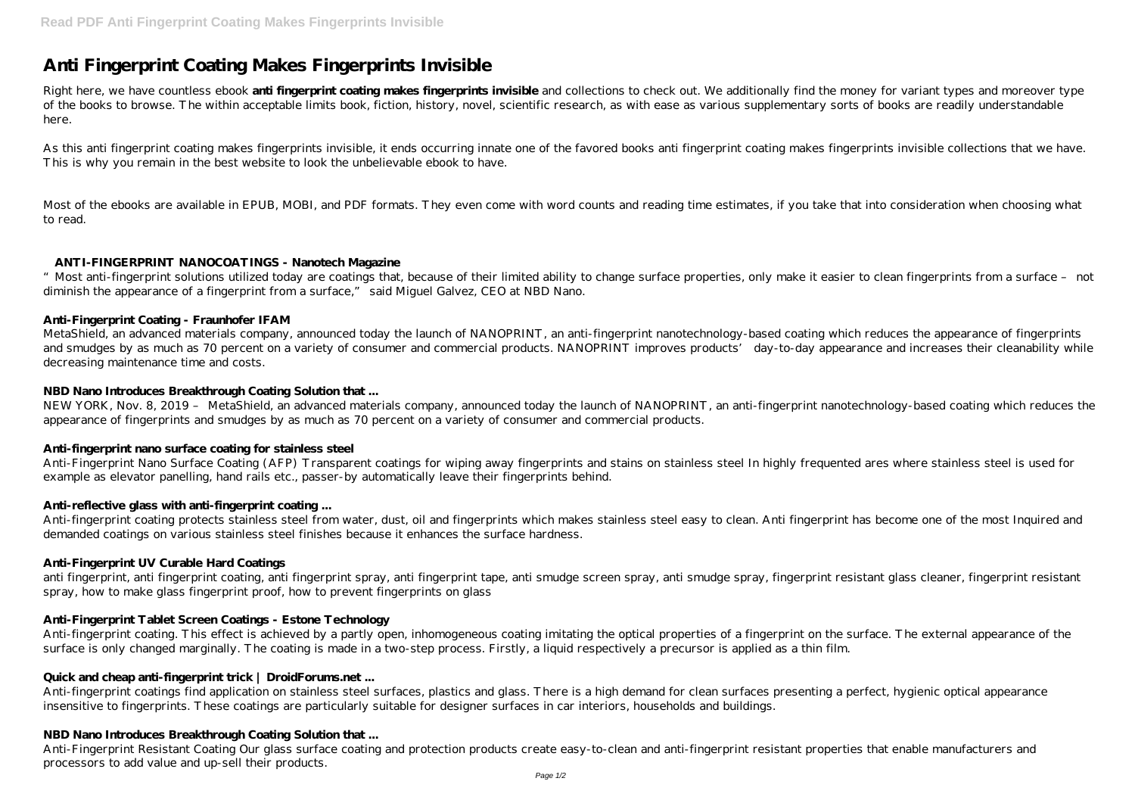# **Anti Fingerprint Coating Makes Fingerprints Invisible**

Right here, we have countless ebook **anti fingerprint coating makes fingerprints invisible** and collections to check out. We additionally find the money for variant types and moreover type of the books to browse. The within acceptable limits book, fiction, history, novel, scientific research, as with ease as various supplementary sorts of books are readily understandable here.

"Most anti-fingerprint solutions utilized today are coatings that, because of their limited ability to change surface properties, only make it easier to clean fingerprints from a surface – not diminish the appearance of a fingerprint from a surface," said Miguel Galvez, CEO at NBD Nano.

As this anti fingerprint coating makes fingerprints invisible, it ends occurring innate one of the favored books anti fingerprint coating makes fingerprints invisible collections that we have. This is why you remain in the best website to look the unbelievable ebook to have.

Most of the ebooks are available in EPUB, MOBI, and PDF formats. They even come with word counts and reading time estimates, if you take that into consideration when choosing what to read.

## **ANTI-FINGERPRINT NANOCOATINGS - Nanotech Magazine**

# **Anti-Fingerprint Coating - Fraunhofer IFAM**

Anti-fingerprint coating protects stainless steel from water, dust, oil and fingerprints which makes stainless steel easy to clean. Anti fingerprint has become one of the most Inquired and demanded coatings on various stainless steel finishes because it enhances the surface hardness.

MetaShield, an advanced materials company, announced today the launch of NANOPRINT, an anti-fingerprint nanotechnology-based coating which reduces the appearance of fingerprints and smudges by as much as 70 percent on a variety of consumer and commercial products. NANOPRINT improves products' day-to-day appearance and increases their cleanability while decreasing maintenance time and costs.

anti fingerprint, anti fingerprint coating, anti fingerprint spray, anti smudge screen spray, anti smudge spray, fingerprint resistant glass cleaner, fingerprint resistant spray, how to make glass fingerprint proof, how to prevent fingerprints on glass

Anti-fingerprint coating. This effect is achieved by a partly open, inhomogeneous coating imitating the optical properties of a fingerprint on the surface. The external appearance of the surface is only changed marginally. The coating is made in a two-step process. Firstly, a liquid respectively a precursor is applied as a thin film.

# **NBD Nano Introduces Breakthrough Coating Solution that ...**

NEW YORK, Nov. 8, 2019 – MetaShield, an advanced materials company, announced today the launch of NANOPRINT, an anti-fingerprint nanotechnology-based coating which reduces the appearance of fingerprints and smudges by as much as 70 percent on a variety of consumer and commercial products.

## **Anti-fingerprint nano surface coating for stainless steel**

Anti-Fingerprint Nano Surface Coating (AFP) Transparent coatings for wiping away fingerprints and stains on stainless steel In highly frequented ares where stainless steel is used for example as elevator panelling, hand rails etc., passer-by automatically leave their fingerprints behind.

## **Anti-reflective glass with anti-fingerprint coating ...**

## **Anti-Fingerprint UV Curable Hard Coatings**

## **Anti-Fingerprint Tablet Screen Coatings - Estone Technology**

## **Quick and cheap anti-fingerprint trick | DroidForums.net ...**

Anti-fingerprint coatings find application on stainless steel surfaces, plastics and glass. There is a high demand for clean surfaces presenting a perfect, hygienic optical appearance insensitive to fingerprints. These coatings are particularly suitable for designer surfaces in car interiors, households and buildings.

## **NBD Nano Introduces Breakthrough Coating Solution that ...**

Anti-Fingerprint Resistant Coating Our glass surface coating and protection products create easy-to-clean and anti-fingerprint resistant properties that enable manufacturers and processors to add value and up-sell their products.